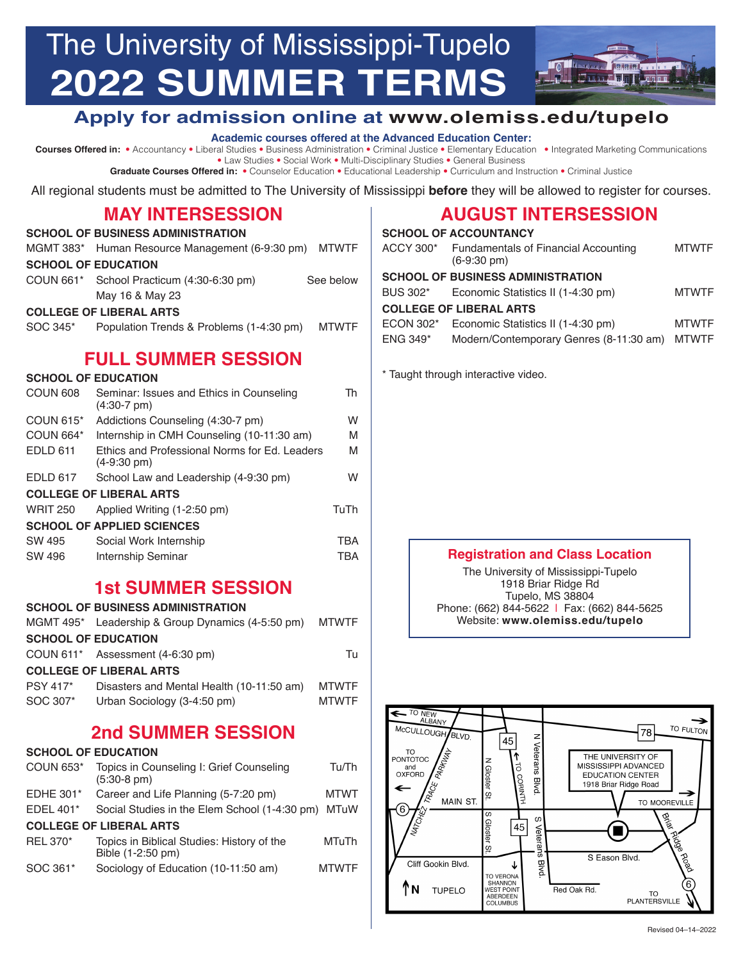# The University of Mississippi-Tupelo **2022 SUMMER TERMS**

# **Apply for admission online at www.olemiss.edu/tupelo**

#### **Academic courses offered at the Advanced Education Center:**

**Courses Offered in:** • Accountancy • Liberal Studies • Business Administration • Criminal Justice • Elementary Education • Integrated Marketing Communications • Law Studies • Social Work • Multi-Disciplinary Studies • General Business

**Graduate Courses Offered in:** • Counselor Education • Educational Leadership • Curriculum and Instruction • Criminal Justice

All regional students must be admitted to The University of Mississippi **before** they will be allowed to register for courses.

## **MAY INTERSESSION**

| <b>SCHOOL OF BUSINESS ADMINISTRATION</b> |                                                       |              |  |
|------------------------------------------|-------------------------------------------------------|--------------|--|
|                                          | MGMT 383* Human Resource Management (6-9:30 pm) MTWTF |              |  |
| <b>SCHOOL OF EDUCATION</b>               |                                                       |              |  |
|                                          | COUN 661* School Practicum (4:30-6:30 pm)             | See below    |  |
|                                          | May 16 & May 23                                       |              |  |
|                                          | <b>COLLEGE OF LIBERAL ARTS</b>                        |              |  |
| SOC 345*                                 | Population Trends & Problems (1-4:30 pm)              | <b>MTWTF</b> |  |
|                                          |                                                       |              |  |

# **FULL SUMMER SESSION**

#### **SCHOOL OF EDUCATION**

| COUN 608                          | Seminar: Issues and Ethics in Counseling<br>$(4:30-7 \text{ pm})$      | Th   |
|-----------------------------------|------------------------------------------------------------------------|------|
| COUN $615*$                       | Addictions Counseling (4:30-7 pm)                                      | W    |
| COUN 664*                         | Internship in CMH Counseling (10-11:30 am)                             | M    |
| <b>EDLD 611</b>                   | Ethics and Professional Norms for Ed. Leaders<br>$(4-9:30 \text{ pm})$ | M    |
| <b>EDLD 617</b>                   | School Law and Leadership (4-9:30 pm)                                  | W    |
| <b>COLLEGE OF LIBERAL ARTS</b>    |                                                                        |      |
| <b>WRIT 250</b>                   | Applied Writing (1-2:50 pm)                                            | TuTh |
| <b>SCHOOL OF APPLIED SCIENCES</b> |                                                                        |      |
| SW 495                            | Social Work Internship                                                 | TBA  |
| SW 496                            | Internship Seminar                                                     | TBA  |

## **1st SUMMER SESSION**

| <b>SCHOOL OF BUSINESS ADMINISTRATION</b> |                                                   |              |
|------------------------------------------|---------------------------------------------------|--------------|
|                                          | MGMT 495* Leadership & Group Dynamics (4-5:50 pm) | <b>MTWTF</b> |
|                                          | <b>SCHOOL OF EDUCATION</b>                        |              |
|                                          | COUN 611* Assessment (4-6:30 pm)                  | Тu           |
| <b>COLLEGE OF LIBERAL ARTS</b>           |                                                   |              |
| <b>PSY 417*</b>                          | Disasters and Mental Health (10-11:50 am)         | <b>MTWTF</b> |
| SOC 307*                                 | Urban Sociology (3-4:50 pm)                       | <b>MTWTF</b> |
|                                          |                                                   |              |

# **2nd SUMMER SESSION**

## **SCHOOL OF EDUCATION**

| COUN 653*        | Topics in Counseling I: Grief Counseling<br>$(5:30-8 \text{ pm})$ | Tu/Th        |
|------------------|-------------------------------------------------------------------|--------------|
| <b>EDHE 301*</b> | Career and Life Planning (5-7:20 pm)                              | <b>MTWT</b>  |
| EDEL 401 $*$     | Social Studies in the Elem School (1-4:30 pm) MTuW                |              |
|                  | <b>COLLEGE OF LIBERAL ARTS</b>                                    |              |
| <b>REL 370*</b>  | Topics in Biblical Studies: History of the<br>Bible (1-2:50 pm)   | MTuTh        |
| SOC 361*         | Sociology of Education (10-11:50 am)                              | <b>MTWTF</b> |

# **AUGUST INTERSESSION**

|                                | <b>SCHOOL OF ACCOUNTANCY</b>                                         |              |
|--------------------------------|----------------------------------------------------------------------|--------------|
| ACCY 300*                      | <b>Fundamentals of Financial Accounting</b><br>$(6-9:30 \text{ pm})$ | <b>MTWTF</b> |
|                                | <b>SCHOOL OF BUSINESS ADMINISTRATION</b>                             |              |
| BUS 302*                       | Economic Statistics II (1-4:30 pm)                                   | <b>MTWTF</b> |
| <b>COLLEGE OF LIBERAL ARTS</b> |                                                                      |              |
| ECON 302*                      | Economic Statistics II (1-4:30 pm)                                   | <b>MTWTF</b> |
| $ENG 349*$                     | Modern/Contemporary Genres (8-11:30 am)                              | <b>MTWTF</b> |
|                                |                                                                      |              |

#### \* Taught through interactive video.

## **Registration and Class Location**

The University of Mississippi-Tupelo 1918 Briar Ridge Rd Tupelo, MS 38804 Phone: (662) 844-5622 | Fax: (662) 844-5625 Website: **www.olemiss.edu/tupelo**